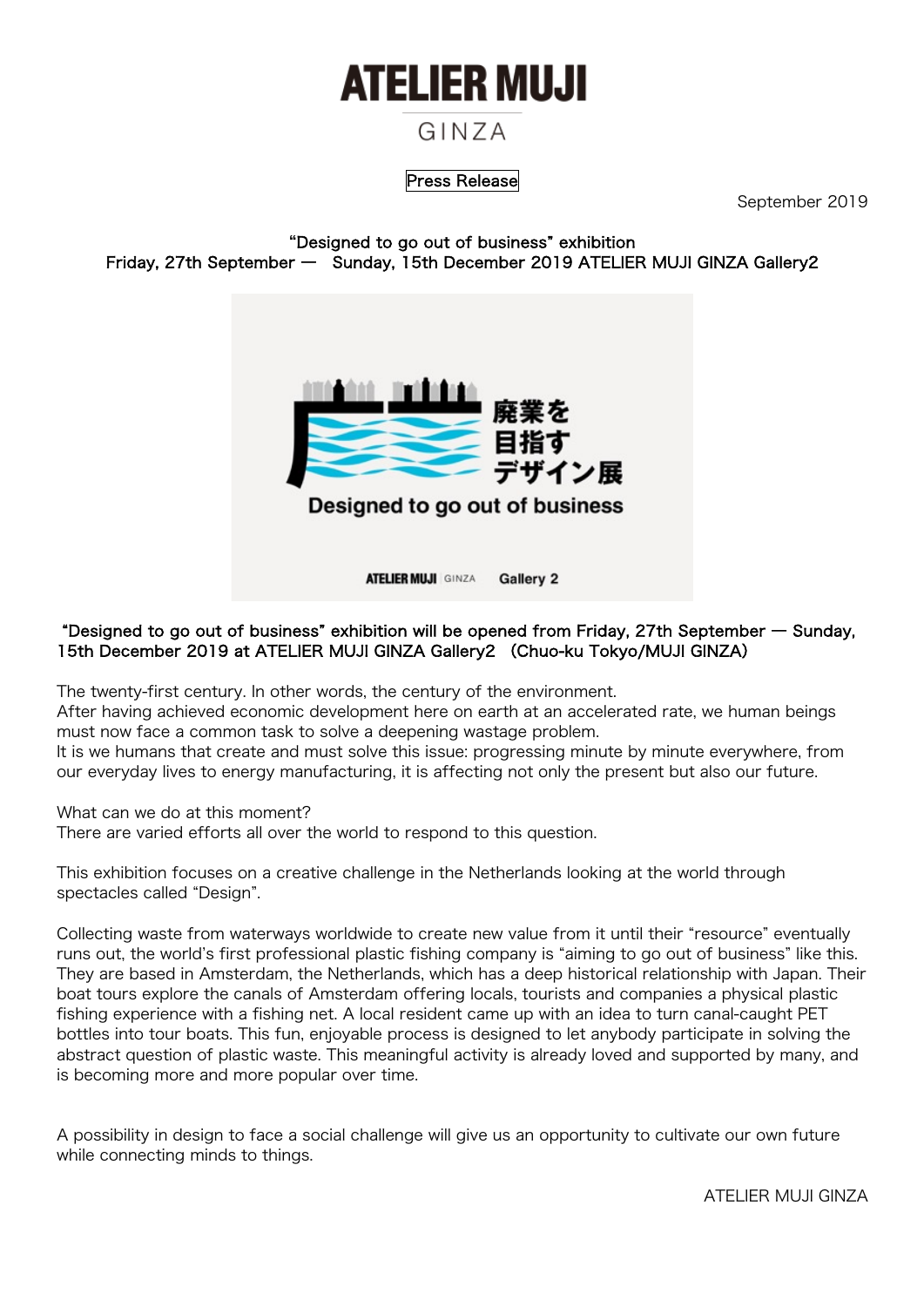# **ATELIER MUJI**

# GINZA

## Press Release

September 2019

"Designed to go out of business" exhibition Friday, 27th September ― Sunday, 15th December 2019 ATELIER MUJI GINZA Gallery2



**ATELIER MUJI** GINZA **Gallery 2** 

#### "Designed to go out of business" exhibition will be opened from Friday, 27th September ― Sunday, 15th December 2019 at ATELIER MUJI GINZA Gallery2 (Chuo-ku Tokyo/MUJI GINZA)

The twenty-first century. In other words, the century of the environment.

After having achieved economic development here on earth at an accelerated rate, we human beings must now face a common task to solve a deepening wastage problem.

It is we humans that create and must solve this issue: progressing minute by minute everywhere, from our everyday lives to energy manufacturing, it is affecting not only the present but also our future.

What can we do at this moment?

There are varied efforts all over the world to respond to this question.

This exhibition focuses on a creative challenge in the Netherlands looking at the world through spectacles called "Design".

Collecting waste from waterways worldwide to create new value from it until their "resource" eventually runs out, the world's first professional plastic fishing company is "aiming to go out of business" like this. They are based in Amsterdam, the Netherlands, which has a deep historical relationship with Japan. Their boat tours explore the canals of Amsterdam offering locals, tourists and companies a physical plastic fishing experience with a fishing net. A local resident came up with an idea to turn canal-caught PET bottles into tour boats. This fun, enjoyable process is designed to let anybody participate in solving the abstract question of plastic waste. This meaningful activity is already loved and supported by many, and is becoming more and more popular over time.

A possibility in design to face a social challenge will give us an opportunity to cultivate our own future while connecting minds to things.

ATELIER MUJI GINZA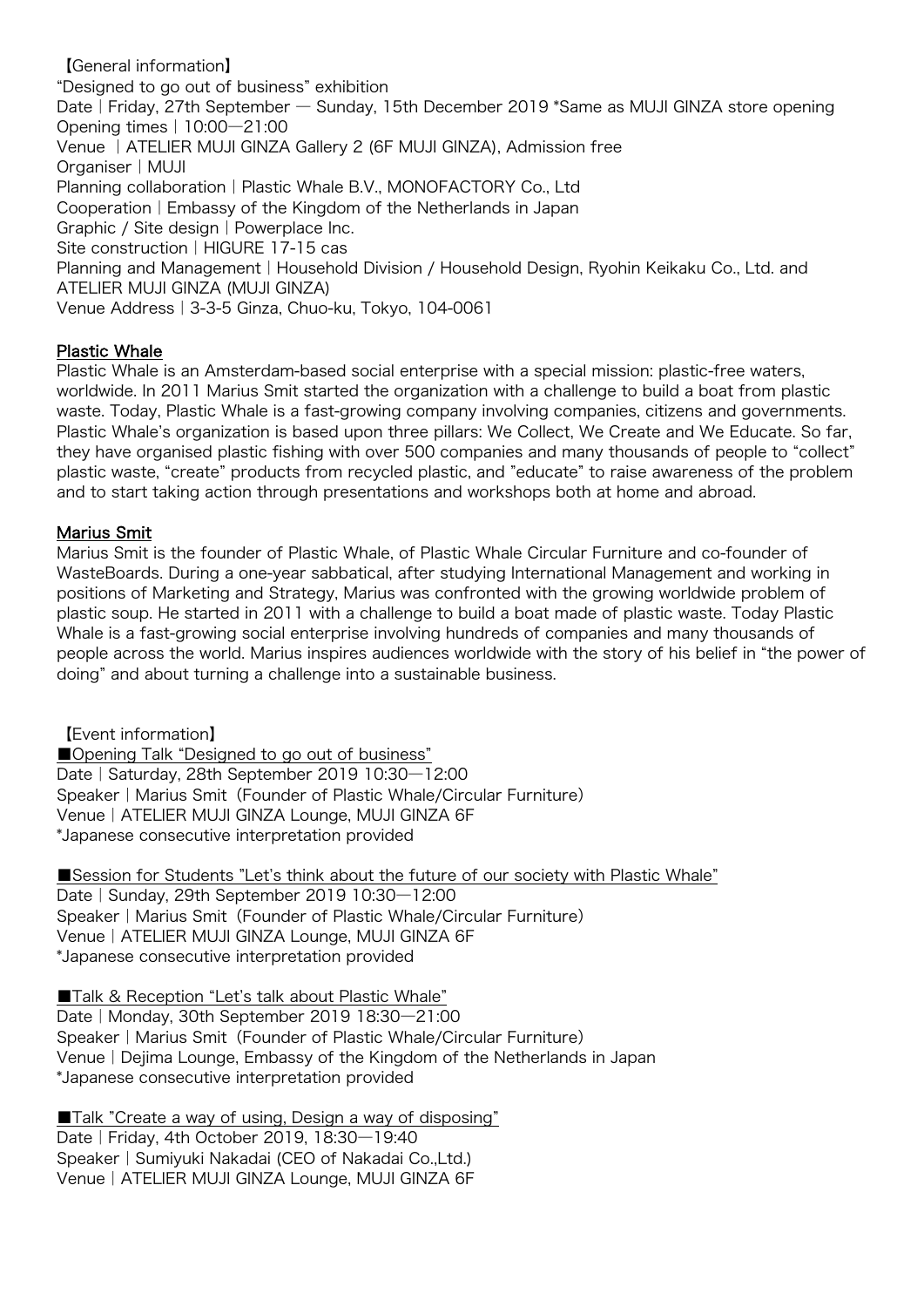【General information】 "Designed to go out of business" exhibition Date | Friday, 27th September — Sunday, 15th December 2019 \*Same as MUJI GINZA store opening Opening times|10:00―21:00 Venue |ATELIER MUJI GINZA Gallery 2 (6F MUJI GINZA), Admission free Organiser|MUJI Planning collaboration | Plastic Whale B.V., MONOFACTORY Co., Ltd Cooperation|Embassy of the Kingdom of the Netherlands in Japan Graphic / Site design | Powerplace Inc. Site construction | HIGURE 17-15 cas Planning and Management | Household Division / Household Design, Ryohin Keikaku Co., Ltd. and ATELIER MUJI GINZA (MUJI GINZA) Venue Address|3-3-5 Ginza, Chuo-ku, Tokyo, 104-0061

#### Plastic Whale

Plastic Whale is an Amsterdam-based social enterprise with a special mission: plastic-free waters, worldwide. In 2011 Marius Smit started the organization with a challenge to build a boat from plastic waste. Today, Plastic Whale is a fast-growing company involving companies, citizens and governments. Plastic Whale's organization is based upon three pillars: We Collect, We Create and We Educate. So far, they have organised plastic fishing with over 500 companies and many thousands of people to "collect" plastic waste, "create" products from recycled plastic, and "educate" to raise awareness of the problem and to start taking action through presentations and workshops both at home and abroad.

## Marius Smit

Marius Smit is the founder of Plastic Whale, of Plastic Whale Circular Furniture and co-founder of WasteBoards. During a one-year sabbatical, after studying International Management and working in positions of Marketing and Strategy, Marius was confronted with the growing worldwide problem of plastic soup. He started in 2011 with a challenge to build a boat made of plastic waste. Today Plastic Whale is a fast-growing social enterprise involving hundreds of companies and many thousands of people across the world. Marius inspires audiences worldwide with the story of his belief in "the power of doing" and about turning a challenge into a sustainable business.

【Event information】 ■Opening Talk "Designed to go out of business" Date | Saturday, 28th September 2019 10:30-12:00 Speaker | Marius Smit (Founder of Plastic Whale/Circular Furniture) Venue|ATELIER MUJI GINZA Lounge, MUJI GINZA 6F \*Japanese consecutive interpretation provided

■Session for Students "Let's think about the future of our society with Plastic Whale" Date | Sunday, 29th September 2019 10:30-12:00 Speaker | Marius Smit (Founder of Plastic Whale/Circular Furniture) Venue|ATELIER MUJI GINZA Lounge, MUJI GINZA 6F \*Japanese consecutive interpretation provided

■Talk & Reception "Let's talk about Plastic Whale" Date|Monday, 30th September 2019 18:30―21:00 Speaker | Marius Smit (Founder of Plastic Whale/Circular Furniture) Venue|Dejima Lounge, Embassy of the Kingdom of the Netherlands in Japan \*Japanese consecutive interpretation provided

■Talk "Create a way of using, Design a way of disposing" Date|Friday, 4th October 2019, 18:30―19:40 Speaker | Sumiyuki Nakadai (CEO of Nakadai Co.,Ltd.) Venue|ATELIER MUJI GINZA Lounge, MUJI GINZA 6F